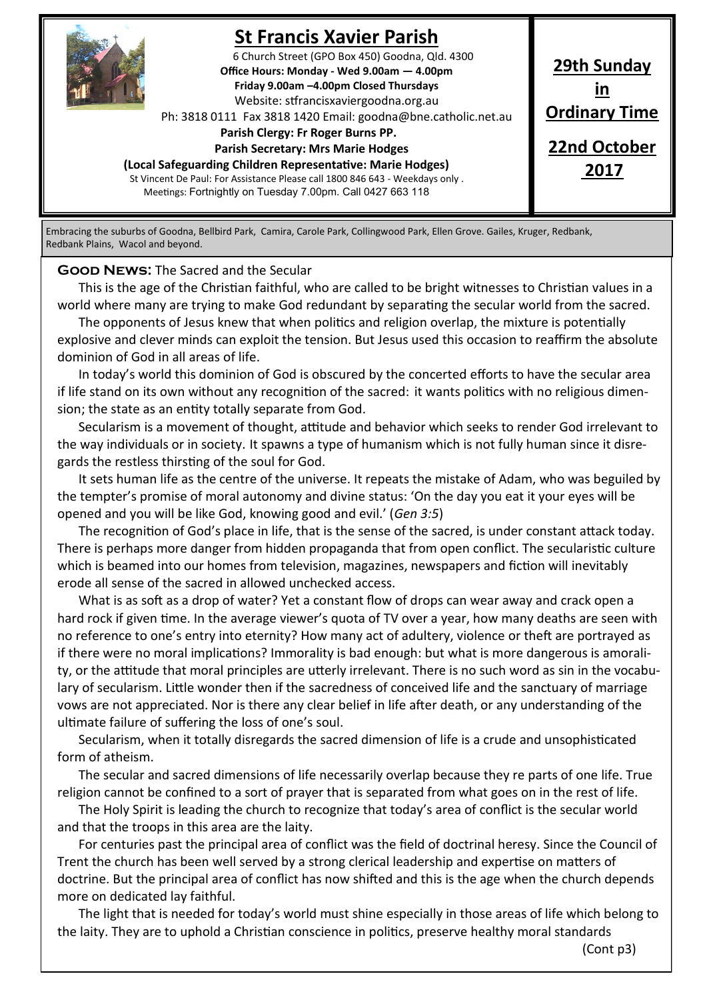

# **St Francis Xavier Parish**

6 Church Street (GPO Box 450) Goodna, Qld. 4300 **Office Hours: Monday - Wed 9.00am — 4.00pm Friday 9.00am –4.00pm Closed Thursdays**  Website: stfrancisxaviergoodna.org.au

Ph: 3818 0111 Fax 3818 1420 Email: goodna@bne.catholic.net.au

 **Parish Clergy: Fr Roger Burns PP.** 

 **Parish Secretary: Mrs Marie Hodges**

**(Local Safeguarding Children Representative: Marie Hodges)** St Vincent De Paul: For Assistance Please call 1800 846 643 - Weekdays only .

Meetings: Fortnightly on Tuesday 7.00pm. Call 0427 663 118

**29th Sunday in Ordinary Time 22nd October 2017**

Embracing the suburbs of Goodna, Bellbird Park, Camira, Carole Park, Collingwood Park, Ellen Grove. Gailes, Kruger, Redbank, Redbank Plains, Wacol and beyond.

**Good News:** The Sacred and the Secular

This is the age of the Christian faithful, who are called to be bright witnesses to Christian values in a world where many are trying to make God redundant by separating the secular world from the sacred.

The opponents of Jesus knew that when politics and religion overlap, the mixture is potentially explosive and clever minds can exploit the tension. But Jesus used this occasion to reaffirm the absolute dominion of God in all areas of life.

In today's world this dominion of God is obscured by the concerted efforts to have the secular area if life stand on its own without any recognition of the sacred: it wants politics with no religious dimension; the state as an entity totally separate from God.

Secularism is a movement of thought, attitude and behavior which seeks to render God irrelevant to the way individuals or in society. It spawns a type of humanism which is not fully human since it disregards the restless thirsting of the soul for God.

It sets human life as the centre of the universe. It repeats the mistake of Adam, who was beguiled by the tempter's promise of moral autonomy and divine status: 'On the day you eat it your eyes will be opened and you will be like God, knowing good and evil.' (*Gen 3:5*)

The recognition of God's place in life, that is the sense of the sacred, is under constant attack today. There is perhaps more danger from hidden propaganda that from open conflict. The secularistic culture which is beamed into our homes from television, magazines, newspapers and fiction will inevitably erode all sense of the sacred in allowed unchecked access.

What is as soft as a drop of water? Yet a constant flow of drops can wear away and crack open a hard rock if given time. In the average viewer's quota of TV over a year, how many deaths are seen with no reference to one's entry into eternity? How many act of adultery, violence or theft are portrayed as if there were no moral implications? Immorality is bad enough: but what is more dangerous is amorality, or the attitude that moral principles are utterly irrelevant. There is no such word as sin in the vocabulary of secularism. Little wonder then if the sacredness of conceived life and the sanctuary of marriage vows are not appreciated. Nor is there any clear belief in life after death, or any understanding of the ultimate failure of suffering the loss of one's soul.

Secularism, when it totally disregards the sacred dimension of life is a crude and unsophisticated form of atheism.

The secular and sacred dimensions of life necessarily overlap because they re parts of one life. True religion cannot be confined to a sort of prayer that is separated from what goes on in the rest of life.

The Holy Spirit is leading the church to recognize that today's area of conflict is the secular world and that the troops in this area are the laity.

For centuries past the principal area of conflict was the field of doctrinal heresy. Since the Council of Trent the church has been well served by a strong clerical leadership and expertise on matters of doctrine. But the principal area of conflict has now shifted and this is the age when the church depends more on dedicated lay faithful.

The light that is needed for today's world must shine especially in those areas of life which belong to the laity. They are to uphold a Christian conscience in politics, preserve healthy moral standards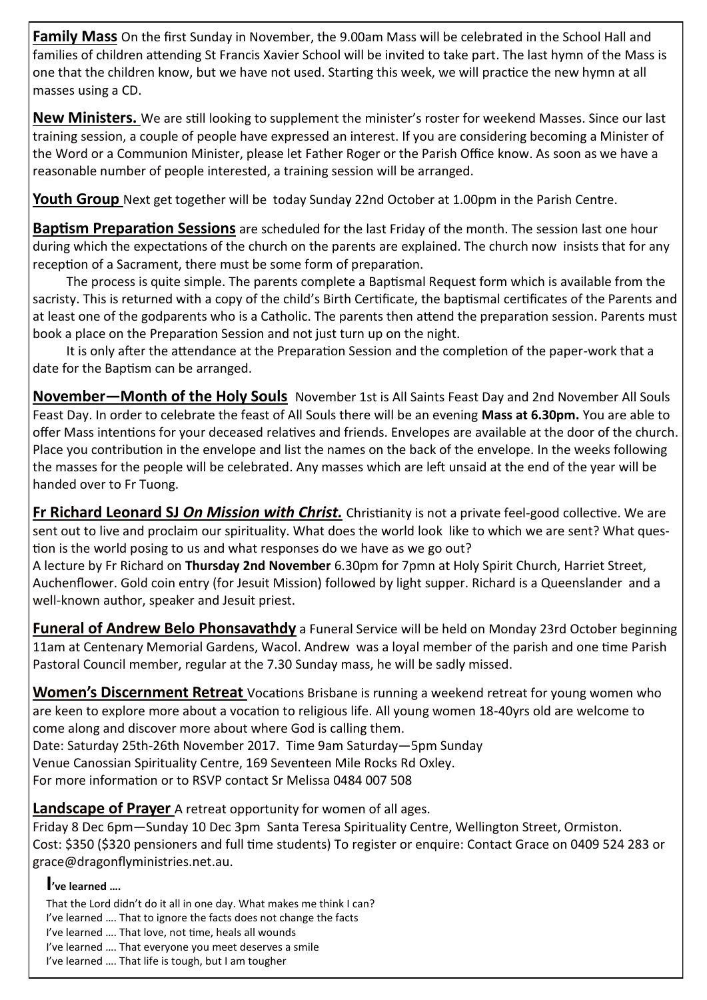**Family Mass** On the first Sunday in November, the 9.00am Mass will be celebrated in the School Hall and families of children attending St Francis Xavier School will be invited to take part. The last hymn of the Mass is one that the children know, but we have not used. Starting this week, we will practice the new hymn at all masses using a CD.

**New Ministers.** We are still looking to supplement the minister's roster for weekend Masses. Since our last training session, a couple of people have expressed an interest. If you are considering becoming a Minister of the Word or a Communion Minister, please let Father Roger or the Parish Office know. As soon as we have a reasonable number of people interested, a training session will be arranged.

**Youth Group** Next get together will be today Sunday 22nd October at 1.00pm in the Parish Centre.

**Baptism Preparation Sessions** are scheduled for the last Friday of the month. The session last one hour during which the expectations of the church on the parents are explained. The church now insists that for any reception of a Sacrament, there must be some form of preparation.

The process is quite simple. The parents complete a Baptismal Request form which is available from the sacristy. This is returned with a copy of the child's Birth Certificate, the baptismal certificates of the Parents and at least one of the godparents who is a Catholic. The parents then attend the preparation session. Parents must book a place on the Preparation Session and not just turn up on the night.

It is only after the attendance at the Preparation Session and the completion of the paper-work that a date for the Baptism can be arranged.

**November—Month of the Holy Souls** November 1st is All Saints Feast Day and 2nd November All Souls Feast Day. In order to celebrate the feast of All Souls there will be an evening **Mass at 6.30pm.** You are able to offer Mass intentions for your deceased relatives and friends. Envelopes are available at the door of the church. Place you contribution in the envelope and list the names on the back of the envelope. In the weeks following the masses for the people will be celebrated. Any masses which are left unsaid at the end of the year will be handed over to Fr Tuong.

**Fr Richard Leonard SJ** *On Mission with Christ.* Christianity is not a private feel-good collective. We are sent out to live and proclaim our spirituality. What does the world look like to which we are sent? What question is the world posing to us and what responses do we have as we go out?

A lecture by Fr Richard on **Thursday 2nd November** 6.30pm for 7pmn at Holy Spirit Church, Harriet Street, Auchenflower. Gold coin entry (for Jesuit Mission) followed by light supper. Richard is a Queenslander and a well-known author, speaker and Jesuit priest.

**Funeral of Andrew Belo Phonsavathdy** a Funeral Service will be held on Monday 23rd October beginning 11am at Centenary Memorial Gardens, Wacol. Andrew was a loyal member of the parish and one time Parish Pastoral Council member, regular at the 7.30 Sunday mass, he will be sadly missed.

**Women's Discernment Retreat** Vocations Brisbane is running a weekend retreat for young women who are keen to explore more about a vocation to religious life. All young women 18-40yrs old are welcome to come along and discover more about where God is calling them.

Date: Saturday 25th-26th November 2017. Time 9am Saturday—5pm Sunday

Venue Canossian Spirituality Centre, 169 Seventeen Mile Rocks Rd Oxley.

For more information or to RSVP contact Sr Melissa 0484 007 508

**Landscape of Prayer** A retreat opportunity for women of all ages.

Friday 8 Dec 6pm—Sunday 10 Dec 3pm Santa Teresa Spirituality Centre, Wellington Street, Ormiston. Cost: \$350 (\$320 pensioners and full time students) To register or enquire: Contact Grace on 0409 524 283 or grace@dragonflyministries.net.au.

### **I've learned ….**

That the Lord didn't do it all in one day. What makes me think I can? I've learned …. That to ignore the facts does not change the facts I've learned …. That love, not time, heals all wounds I've learned …. That everyone you meet deserves a smile I've learned …. That life is tough, but I am tougher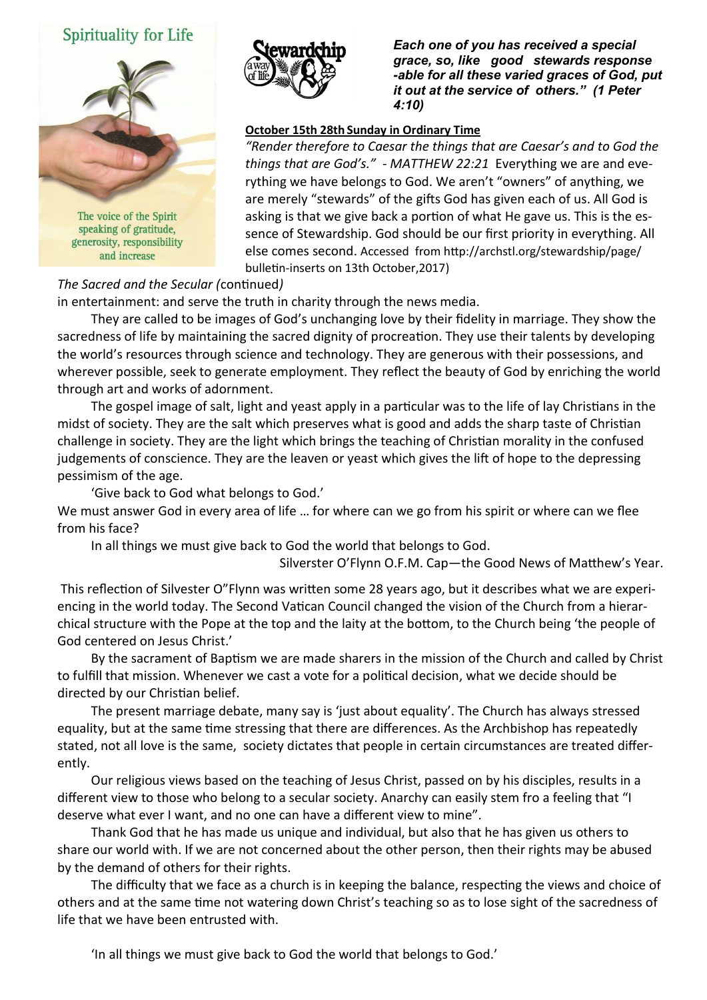## Spirituality for Life



speaking of gratitude, generosity, responsibility and increase



*Each one of you has received a special grace, so, like good stewards response -able for all these varied graces of God, put it out at the service of others." (1 Peter 4:10)* 

#### **October 15th 28th Sunday in Ordinary Time**

*"Render therefore to Caesar the things that are Caesar's and to God the things that are God's." - MATTHEW 22:21* Everything we are and everything we have belongs to God. We aren't "owners" of anything, we are merely "stewards" of the gifts God has given each of us. All God is asking is that we give back a portion of what He gave us. This is the essence of Stewardship. God should be our first priority in everything. All else comes second. Accessed from http://archstl.org/stewardship/page/ bulletin-inserts on 13th October,2017)

*The Sacred and the Secular (*continued*)*

in entertainment: and serve the truth in charity through the news media.

They are called to be images of God's unchanging love by their fidelity in marriage. They show the sacredness of life by maintaining the sacred dignity of procreation. They use their talents by developing the world's resources through science and technology. They are generous with their possessions, and wherever possible, seek to generate employment. They reflect the beauty of God by enriching the world through art and works of adornment.

The gospel image of salt, light and yeast apply in a particular was to the life of lay Christians in the midst of society. They are the salt which preserves what is good and adds the sharp taste of Christian challenge in society. They are the light which brings the teaching of Christian morality in the confused judgements of conscience. They are the leaven or yeast which gives the lift of hope to the depressing pessimism of the age.

'Give back to God what belongs to God.'

We must answer God in every area of life ... for where can we go from his spirit or where can we flee from his face?

In all things we must give back to God the world that belongs to God.

Silverster O'Flynn O.F.M. Cap—the Good News of Matthew's Year.

This reflection of Silvester O"Flynn was written some 28 years ago, but it describes what we are experiencing in the world today. The Second Vatican Council changed the vision of the Church from a hierarchical structure with the Pope at the top and the laity at the bottom, to the Church being 'the people of God centered on Jesus Christ.'

By the sacrament of Baptism we are made sharers in the mission of the Church and called by Christ to fulfill that mission. Whenever we cast a vote for a political decision, what we decide should be directed by our Christian belief.

The present marriage debate, many say is 'just about equality'. The Church has always stressed equality, but at the same time stressing that there are differences. As the Archbishop has repeatedly stated, not all love is the same, society dictates that people in certain circumstances are treated differently.

Our religious views based on the teaching of Jesus Christ, passed on by his disciples, results in a different view to those who belong to a secular society. Anarchy can easily stem fro a feeling that "I deserve what ever I want, and no one can have a different view to mine".

Thank God that he has made us unique and individual, but also that he has given us others to share our world with. If we are not concerned about the other person, then their rights may be abused by the demand of others for their rights.

The difficulty that we face as a church is in keeping the balance, respecting the views and choice of others and at the same time not watering down Christ's teaching so as to lose sight of the sacredness of life that we have been entrusted with.

'In all things we must give back to God the world that belongs to God.'